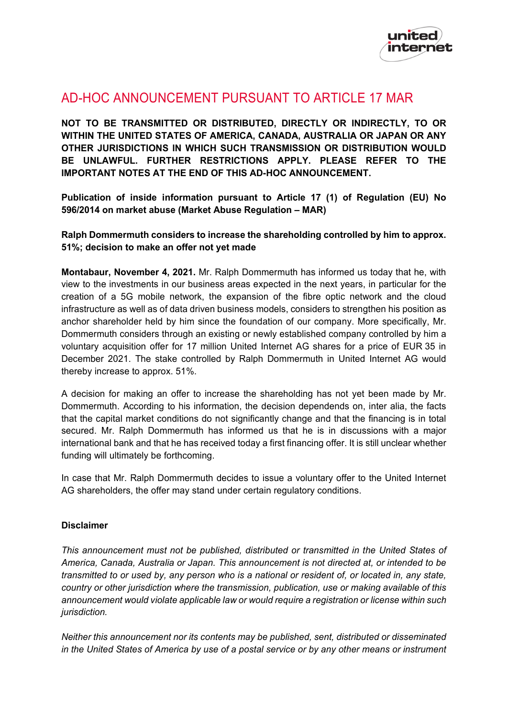

## AD-HOC ANNOUNCEMENT PURSUANT TO ARTICLE 17 MAR

**NOT TO BE TRANSMITTED OR DISTRIBUTED, DIRECTLY OR INDIRECTLY, TO OR WITHIN THE UNITED STATES OF AMERICA, CANADA, AUSTRALIA OR JAPAN OR ANY OTHER JURISDICTIONS IN WHICH SUCH TRANSMISSION OR DISTRIBUTION WOULD BE UNLAWFUL. FURTHER RESTRICTIONS APPLY. PLEASE REFER TO THE IMPORTANT NOTES AT THE END OF THIS AD-HOC ANNOUNCEMENT.**

**Publication of inside information pursuant to Article 17 (1) of Regulation (EU) No 596/2014 on market abuse (Market Abuse Regulation – MAR)**

**Ralph Dommermuth considers to increase the shareholding controlled by him to approx. 51%; decision to make an offer not yet made**

**Montabaur, November 4, 2021.** Mr. Ralph Dommermuth has informed us today that he, with view to the investments in our business areas expected in the next years, in particular for the creation of a 5G mobile network, the expansion of the fibre optic network and the cloud infrastructure as well as of data driven business models, considers to strengthen his position as anchor shareholder held by him since the foundation of our company. More specifically, Mr. Dommermuth considers through an existing or newly established company controlled by him a voluntary acquisition offer for 17 million United Internet AG shares for a price of EUR 35 in December 2021. The stake controlled by Ralph Dommermuth in United Internet AG would thereby increase to approx. 51%.

A decision for making an offer to increase the shareholding has not yet been made by Mr. Dommermuth. According to his information, the decision dependends on, inter alia, the facts that the capital market conditions do not significantly change and that the financing is in total secured. Mr. Ralph Dommermuth has informed us that he is in discussions with a major international bank and that he has received today a first financing offer. It is still unclear whether funding will ultimately be forthcoming.

In case that Mr. Ralph Dommermuth decides to issue a voluntary offer to the United Internet AG shareholders, the offer may stand under certain regulatory conditions.

## **Disclaimer**

*This announcement must not be published, distributed or transmitted in the United States of America, Canada, Australia or Japan. This announcement is not directed at, or intended to be transmitted to or used by, any person who is a national or resident of, or located in, any state, country or other jurisdiction where the transmission, publication, use or making available of this announcement would violate applicable law or would require a registration or license within such jurisdiction.*

*Neither this announcement nor its contents may be published, sent, distributed or disseminated in the United States of America by use of a postal service or by any other means or instrument*